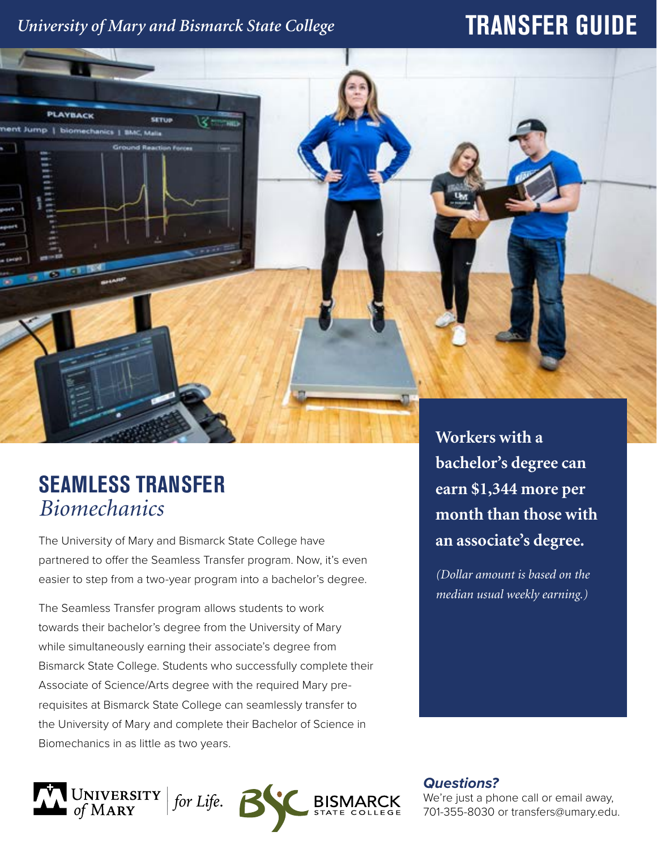# *University of Mary and Bismarck State College*

# **TRANSFER GUIDE**



# **SEAMLESS TRANSFER** *Biomechanics*

The University of Mary and Bismarck State College have partnered to offer the Seamless Transfer program. Now, it's even easier to step from a two-year program into a bachelor's degree.

The Seamless Transfer program allows students to work towards their bachelor's degree from the University of Mary while simultaneously earning their associate's degree from Bismarck State College. Students who successfully complete their Associate of Science/Arts degree with the required Mary prerequisites at Bismarck State College can seamlessly transfer to the University of Mary and complete their Bachelor of Science in Biomechanics in as little as two years.

**Workers with a bachelor's degree can earn \$1,344 more per month than those with an associate's degree.** 

*(Dollar amount is based on the median usual weekly earning.)*

UNIVERSITY | for Life.<br>of MARY

*Questions?*

We're just a phone call or email away, 701-355-8030 or transfers@umary.edu.